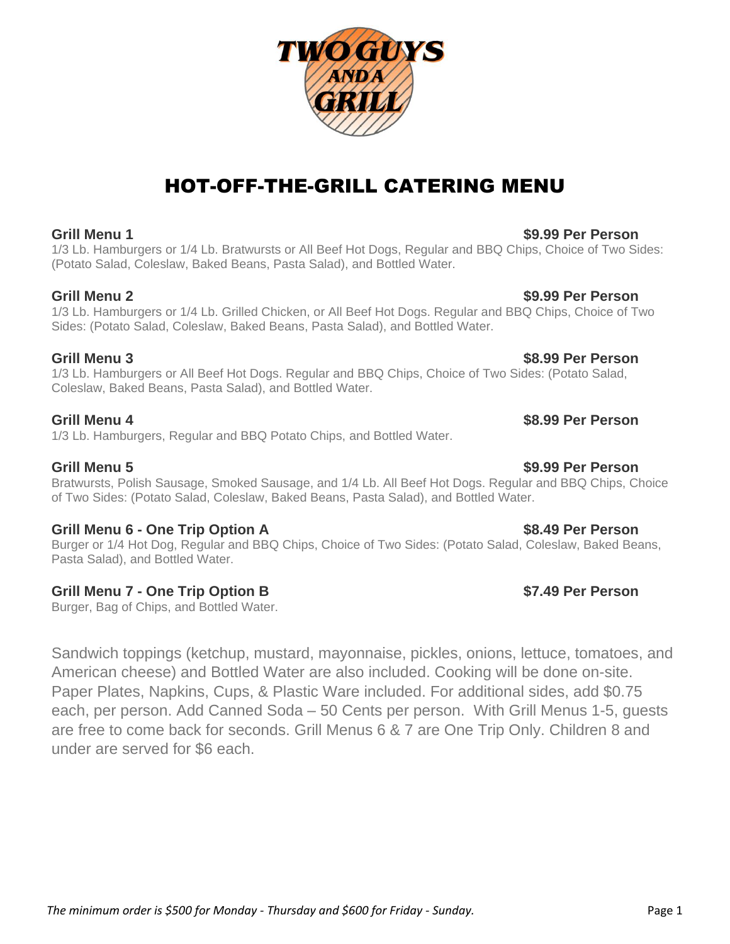# HOT-OFF-THE-GRILL CATERING MENU

### **Grill Menu 1 \$9.99 Per Person**

1/3 Lb. Hamburgers or 1/4 Lb. Bratwursts or All Beef Hot Dogs, Regular and BBQ Chips, Choice of Two Sides: (Potato Salad, Coleslaw, Baked Beans, Pasta Salad), and Bottled Water.

### **Grill Menu 2 \$9.99 Per Person**

1/3 Lb. Hamburgers or 1/4 Lb. Grilled Chicken, or All Beef Hot Dogs. Regular and BBQ Chips, Choice of Two Sides: (Potato Salad, Coleslaw, Baked Beans, Pasta Salad), and Bottled Water.

### **Grill Menu 3 \$8.99 Per Person**

1/3 Lb. Hamburgers or All Beef Hot Dogs. Regular and BBQ Chips, Choice of Two Sides: (Potato Salad, Coleslaw, Baked Beans, Pasta Salad), and Bottled Water.

### **Grill Menu 4 \$8.99 Per Person**

1/3 Lb. Hamburgers, Regular and BBQ Potato Chips, and Bottled Water.

### **Grill Menu 5 \$9.99 Per Person**

Bratwursts, Polish Sausage, Smoked Sausage, and 1/4 Lb. All Beef Hot Dogs. Regular and BBQ Chips, Choice of Two Sides: (Potato Salad, Coleslaw, Baked Beans, Pasta Salad), and Bottled Water.

### **Grill Menu 6 - One Trip Option A \$8.49 Per Person**

Burger or 1/4 Hot Dog, Regular and BBQ Chips, Choice of Two Sides: (Potato Salad, Coleslaw, Baked Beans, Pasta Salad), and Bottled Water.

### **Grill Menu 7 - One Trip Option B \$7.49 Per Person**

Burger, Bag of Chips, and Bottled Water.

Sandwich toppings (ketchup, mustard, mayonnaise, pickles, onions, lettuce, tomatoes, and American cheese) and Bottled Water are also included. Cooking will be done on-site. Paper Plates, Napkins, Cups, & Plastic Ware included. For additional sides, add \$0.75 each, per person. Add Canned Soda – 50 Cents per person. With Grill Menus 1-5, guests are free to come back for seconds. Grill Menus 6 & 7 are One Trip Only. Children 8 and under are served for \$6 each.

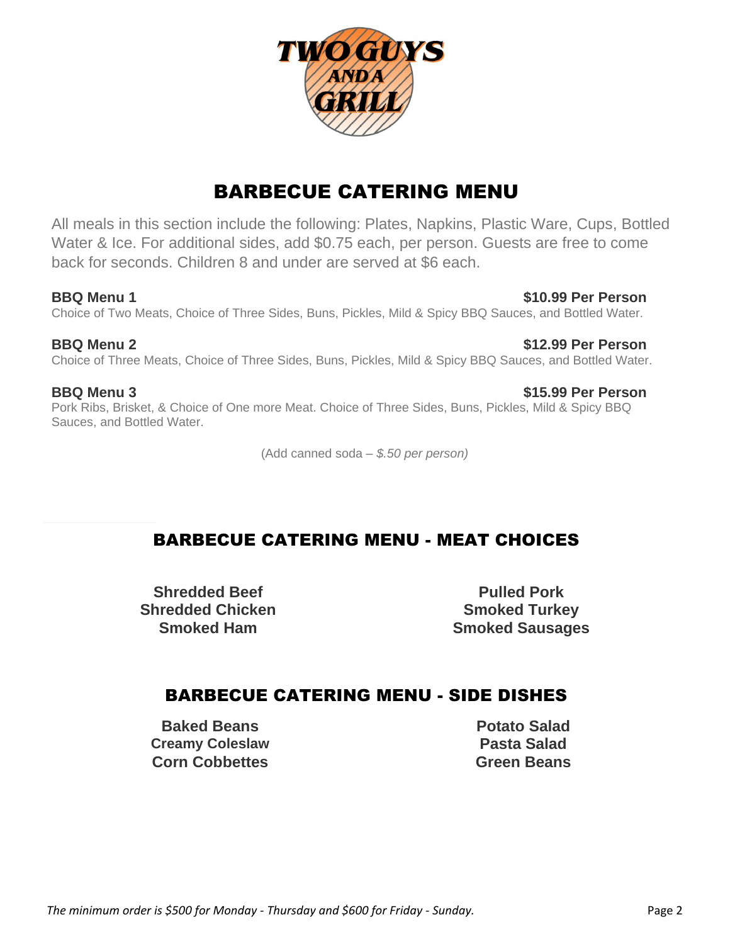

# BARBECUE CATERING MENU

All meals in this section include the following: Plates, Napkins, Plastic Ware, Cups, Bottled Water & Ice. For additional sides, add \$0.75 each, per person. Guests are free to come back for seconds. Children 8 and under are served at \$6 each.

**BBQ Menu 1 \$10.99 Per Person** Choice of Two Meats, Choice of Three Sides, Buns, Pickles, Mild & Spicy BBQ Sauces, and Bottled Water.

**BBQ Menu 2 \$12.99 Per Person** Choice of Three Meats, Choice of Three Sides, Buns, Pickles, Mild & Spicy BBQ Sauces, and Bottled Water.

### **BBQ Menu 3 \$15.99 Per Person**

Pork Ribs, Brisket, & Choice of One more Meat. Choice of Three Sides, Buns, Pickles, Mild & Spicy BBQ Sauces, and Bottled Water.

(Add canned soda – *\$.50 per person)*

#### **SIDE DISHES** BARBECUE CATERING MENU - MEAT CHOICES

**Shredded Beef Pulled Pork Shredded Chicken Smoked Turkey** 

**Smoked Ham Smoked Sausages**

## BARBECUE CATERING MENU - SIDE DISHES

**Baked Beans Potato Salad Creamy Coleslaw Pasta Salad Corn Cobbettes Green Beans**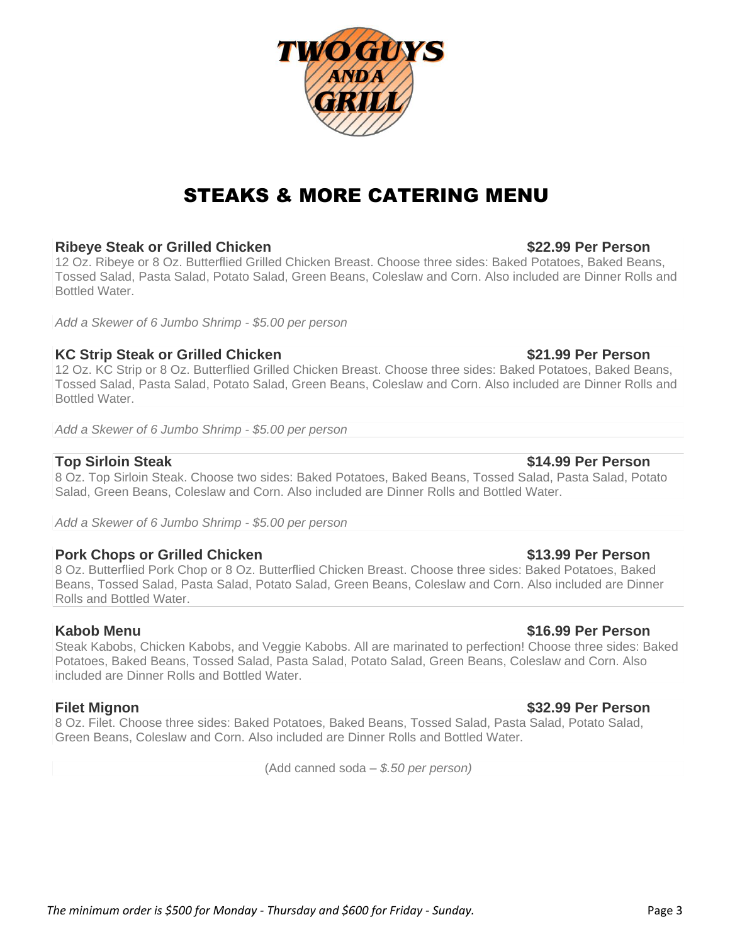# STEAKS & MORE CATERING MENU

### **Ribeye Steak or Grilled Chicken \$22.99 Per Person**

12 Oz. Ribeye or 8 Oz. Butterflied Grilled Chicken Breast. Choose three sides: Baked Potatoes, Baked Beans, Tossed Salad, Pasta Salad, Potato Salad, Green Beans, Coleslaw and Corn. Also included are Dinner Rolls and Bottled Water.

*Add a Skewer of 6 Jumbo Shrimp - \$5.00 per person*

### **KC Strip Steak or Grilled Chicken <b>Example 21.99 Per Person**

12 Oz. KC Strip or 8 Oz. Butterflied Grilled Chicken Breast. Choose three sides: Baked Potatoes, Baked Beans, Tossed Salad, Pasta Salad, Potato Salad, Green Beans, Coleslaw and Corn. Also included are Dinner Rolls and Bottled Water.

*Add a Skewer of 6 Jumbo Shrimp - \$5.00 per person*

### **Top Sirloin Steak \$14.99 Per Person**

8 Oz. Top Sirloin Steak. Choose two sides: Baked Potatoes, Baked Beans, Tossed Salad, Pasta Salad, Potato Salad, Green Beans, Coleslaw and Corn. Also included are Dinner Rolls and Bottled Water.

*Add a Skewer of 6 Jumbo Shrimp - \$5.00 per person*

### **Pork Chops or Grilled Chicken \$13.99 Per Person**

8 Oz. Butterflied Pork Chop or 8 Oz. Butterflied Chicken Breast. Choose three sides: Baked Potatoes, Baked Beans, Tossed Salad, Pasta Salad, Potato Salad, Green Beans, Coleslaw and Corn. Also included are Dinner Rolls and Bottled Water.

Steak Kabobs, Chicken Kabobs, and Veggie Kabobs. All are marinated to perfection! Choose three sides: Baked Potatoes, Baked Beans, Tossed Salad, Pasta Salad, Potato Salad, Green Beans, Coleslaw and Corn. Also included are Dinner Rolls and Bottled Water.

8 Oz. Filet. Choose three sides: Baked Potatoes, Baked Beans, Tossed Salad, Pasta Salad, Potato Salad, Green Beans, Coleslaw and Corn. Also included are Dinner Rolls and Bottled Water.

(Add canned soda – *\$.50 per person)*

### **Kabob Menu \$16.99 Per Person**

### **Filet Mignon \$32.99 Per Person**

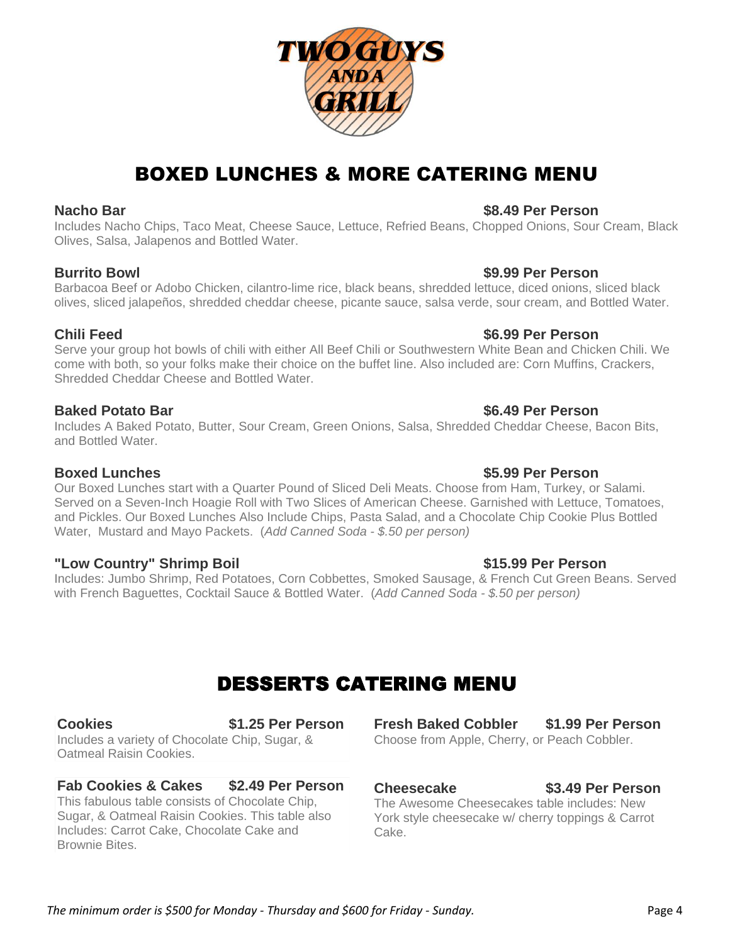#### *The minimum order is \$500 for Monday - Thursday and \$600 for Friday - Sunday.* Page 4

## BOXED LUNCHES & MORE CATERING MENU

#### **Nacho Bar \$8.49 Per Person**

Includes Nacho Chips, Taco Meat, Cheese Sauce, Lettuce, Refried Beans, Chopped Onions, Sour Cream, Black Olives, Salsa, Jalapenos and Bottled Water.

#### **Burrito Bowl \$9.99 Per Person**

Barbacoa Beef or Adobo Chicken, cilantro-lime rice, black beans, shredded lettuce, diced onions, sliced black olives, sliced jalapeños, shredded cheddar cheese, picante sauce, salsa verde, sour cream, and Bottled Water.

#### **Chili Feed \$6.99 Per Person**

Serve your group hot bowls of chili with either All Beef Chili or Southwestern White Bean and Chicken Chili. We come with both, so your folks make their choice on the buffet line. Also included are: Corn Muffins, Crackers, Shredded Cheddar Cheese and Bottled Water.

#### **Baked Potato Bar \$6.49 Per Person**

Includes A Baked Potato, Butter, Sour Cream, Green Onions, Salsa, Shredded Cheddar Cheese, Bacon Bits, and Bottled Water.

#### **Boxed Lunches \$5.99 Per Person**

Our Boxed Lunches start with a Quarter Pound of Sliced Deli Meats. Choose from Ham, Turkey, or Salami. Served on a Seven-Inch Hoagie Roll with Two Slices of American Cheese. Garnished with Lettuce, Tomatoes, and Pickles. Our Boxed Lunches Also Include Chips, Pasta Salad, and a Chocolate Chip Cookie Plus Bottled Water, Mustard and Mayo Packets. (*Add Canned Soda - \$.50 per person)*

### **"Low Country" Shrimp Boil \$15.99 Per Person**

Includes: Jumbo Shrimp, Red Potatoes, Corn Cobbettes, Smoked Sausage, & French Cut Green Beans. Served with French Baguettes, Cocktail Sauce & Bottled Water. (*Add Canned Soda - \$.50 per person)*

# DESSERTS CATERING MENU

**Cookies \$1.25 Per Person** Includes a variety of Chocolate Chip, Sugar, & Oatmeal Raisin Cookies.

#### **Fab Cookies & Cakes \$2.49 Per Person** This fabulous table consists of Chocolate Chip, Sugar, & Oatmeal Raisin Cookies. This table also Includes: Carrot Cake, Chocolate Cake and Brownie Bites.

**Fresh Baked Cobbler \$1.99 Per Person** Choose from Apple, Cherry, or Peach Cobbler.

#### **Cheesecake \$3.49 Per Person**

The Awesome Cheesecakes table includes: New York style cheesecake w/ cherry toppings & Carrot Cake.